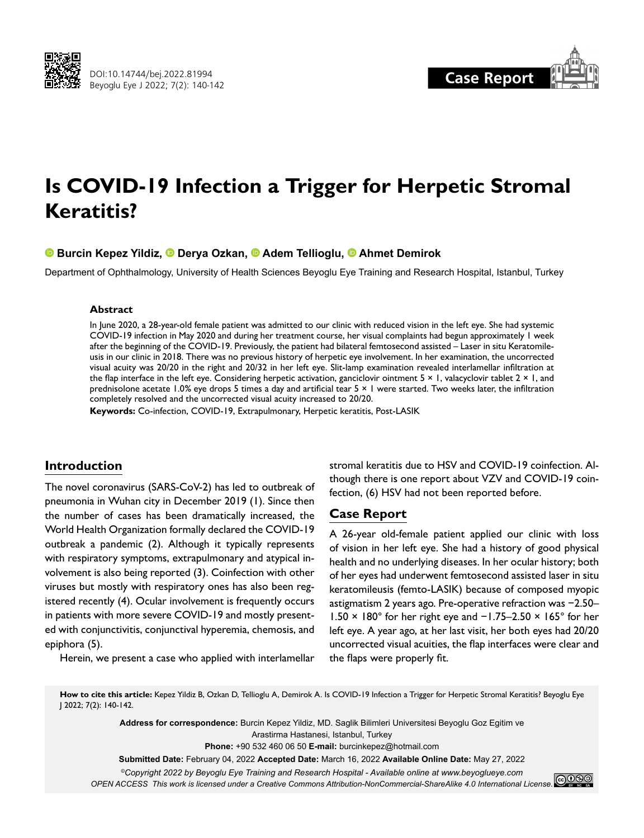



# **Is COVID-19 Infection a Trigger for Herpetic Stromal Keratitis?**

**Burcin Kepez Yildiz,Derya Ozkan,Adem Tellioglu,Ahmet Demirok**

Department of Ophthalmology, University of Health Sciences Beyoglu Eye Training and Research Hospital, Istanbul, Turkey

#### **Abstract**

In June 2020, a 28-year-old female patient was admitted to our clinic with reduced vision in the left eye. She had systemic COVID-19 infection in May 2020 and during her treatment course, her visual complaints had begun approximately 1 week after the beginning of the COVID-19. Previously, the patient had bilateral femtosecond assisted – Laser in situ Keratomileusis in our clinic in 2018. There was no previous history of herpetic eye involvement. In her examination, the uncorrected visual acuity was 20/20 in the right and 20/32 in her left eye. Slit-lamp examination revealed interlamellar infiltration at the flap interface in the left eye. Considering herpetic activation, ganciclovir ointment 5 × 1, valacyclovir tablet 2 × 1, and prednisolone acetate 1.0% eye drops 5 times a day and artificial tear  $5 \times 1$  were started. Two weeks later, the infiltration completely resolved and the uncorrected visual acuity increased to 20/20.

**Keywords:** Co-infection, COVID-19, Extrapulmonary, Herpetic keratitis, Post-LASIK

# **Introduction**

The novel coronavirus (SARS-CoV-2) has led to outbreak of pneumonia in Wuhan city in December 2019 (1). Since then the number of cases has been dramatically increased, the World Health Organization formally declared the COVID-19 outbreak a pandemic (2). Although it typically represents with respiratory symptoms, extrapulmonary and atypical involvement is also being reported (3). Coinfection with other viruses but mostly with respiratory ones has also been registered recently (4). Ocular involvement is frequently occurs in patients with more severe COVID-19 and mostly presented with conjunctivitis, conjunctival hyperemia, chemosis, and epiphora (5).

Herein, we present a case who applied with interlamellar

stromal keratitis due to HSV and COVID-19 coinfection. Although there is one report about VZV and COVID-19 coinfection, (6) HSV had not been reported before.

## **Case Report**

A 26-year old-female patient applied our clinic with loss of vision in her left eye. She had a history of good physical health and no underlying diseases. In her ocular history; both of her eyes had underwent femtosecond assisted laser in situ keratomileusis (femto-LASIK) because of composed myopic astigmatism 2 years ago. Pre-operative refraction was −2.50– 1.50 × 180° for her right eye and −1.75–2.50 × 165° for her left eye. A year ago, at her last visit, her both eyes had 20/20 uncorrected visual acuities, the flap interfaces were clear and the flaps were properly fit.

**How to cite this article:** Kepez Yildiz B, Ozkan D, Tellioglu A, Demirok A. Is COVID-19 Infection a Trigger for Herpetic Stromal Keratitis? Beyoglu Eye J 2022; 7(2): 140-142.

**Address for correspondence:** Burcin Kepez Yildiz, MD. Saglik Bilimleri Universitesi Beyoglu Goz Egitim ve Arastirma Hastanesi, Istanbul, Turkey **Phone:** +90 532 460 06 50 **E-mail:** burcinkepez@hotmail.com **Submitted Date:** February 04, 2022 **Accepted Date:** March 16, 2022 **Available Online Date:** May 27, 2022 *©Copyright 2022 by Beyoglu Eye Training and Research Hospital - Available online at www.beyoglueye.com*

*OPEN ACCESS This work is licensed under a Creative Commons Attribution-NonCommercial-ShareAlike 4.0 International License.*<br>OPEN ACCESS This work is licensed under a Creative Commons Attribution-NonCommercial-ShareAlike 4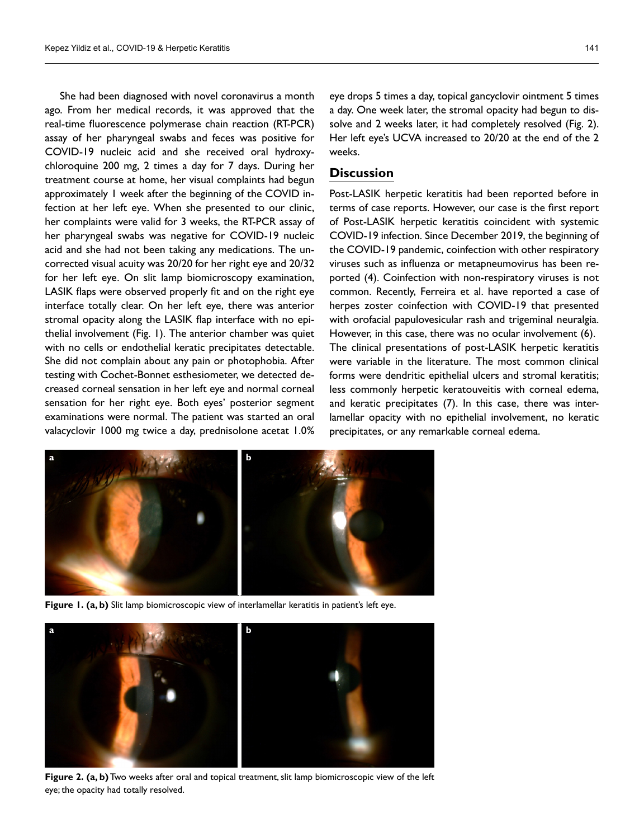She had been diagnosed with novel coronavirus a month ago. From her medical records, it was approved that the real-time fluorescence polymerase chain reaction (RT-PCR) assay of her pharyngeal swabs and feces was positive for COVID-19 nucleic acid and she received oral hydroxychloroquine 200 mg, 2 times a day for 7 days. During her treatment course at home, her visual complaints had begun approximately 1 week after the beginning of the COVID infection at her left eye. When she presented to our clinic, her complaints were valid for 3 weeks, the RT-PCR assay of her pharyngeal swabs was negative for COVID-19 nucleic acid and she had not been taking any medications. The uncorrected visual acuity was 20/20 for her right eye and 20/32 for her left eye. On slit lamp biomicroscopy examination, LASIK flaps were observed properly fit and on the right eye interface totally clear. On her left eye, there was anterior stromal opacity along the LASIK flap interface with no epithelial involvement (Fig. 1). The anterior chamber was quiet with no cells or endothelial keratic precipitates detectable. She did not complain about any pain or photophobia. After testing with Cochet-Bonnet esthesiometer, we detected decreased corneal sensation in her left eye and normal corneal sensation for her right eye. Both eyes' posterior segment examinations were normal. The patient was started an oral valacyclovir 1000 mg twice a day, prednisolone acetat 1.0%

eye drops 5 times a day, topical gancyclovir ointment 5 times a day. One week later, the stromal opacity had begun to dissolve and 2 weeks later, it had completely resolved (Fig. 2). Her left eye's UCVA increased to 20/20 at the end of the 2 weeks.

# **Discussion**

Post-LASIK herpetic keratitis had been reported before in terms of case reports. However, our case is the first report of Post-LASIK herpetic keratitis coincident with systemic COVID-19 infection. Since December 2019, the beginning of the COVID-19 pandemic, coinfection with other respiratory viruses such as influenza or metapneumovirus has been reported (4). Coinfection with non-respiratory viruses is not common. Recently, Ferreira et al. have reported a case of herpes zoster coinfection with COVID-19 that presented with orofacial papulovesicular rash and trigeminal neuralgia. However, in this case, there was no ocular involvement (6). The clinical presentations of post-LASIK herpetic keratitis were variable in the literature. The most common clinical forms were dendritic epithelial ulcers and stromal keratitis; less commonly herpetic keratouveitis with corneal edema, and keratic precipitates (7). In this case, there was interlamellar opacity with no epithelial involvement, no keratic precipitates, or any remarkable corneal edema.



Figure 1. (a, b) Slit lamp biomicroscopic view of interlamellar keratitis in patient's left eye.



**Figure 2. (a, b)** Two weeks after oral and topical treatment, slit lamp biomicroscopic view of the left eye; the opacity had totally resolved.